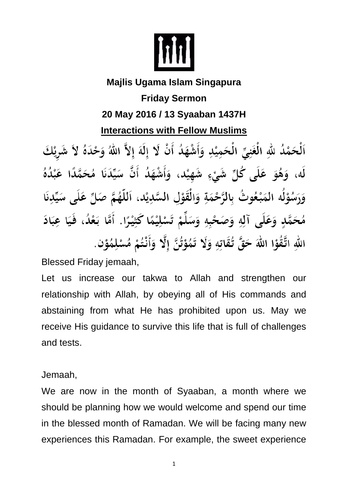

## **Majlis Ugama Islam Singapura Friday Sermon 20 May 2016 / 13 Syaaban 1437H Interactions with Fellow Muslims**  ٱلْحَمْدُ للهِ الْغَنِيِّ الْحَمِيْدِ وَأَشْهَدُ أَنْ لَا إِلَهَ إِلاَّ اللهُ وَحْدَهُ لاَ شَرِيْكَ لَه، وَهُوَ عَلَى كُلِّ شَيْءٍ شَهِيْد، وَأَشْهَدُ أَنَّ سَيِّدَنَا مُحَمَّدًا عَبْدُهُ

وَرَسُوْلُه المَبْعُوتُ بِالرَّحْمَةِ وَالْقَوْلِ السَّدِيْدِ، اَللَّهُمَّ صَلِّ عَلَى سَيِّدِنَا مُحَمَّدٍ وَعَلَى آلِهِ وَصَحْبِهِ وَسَلِّمْ تَسْلِيْمًا كَثِيْرًا. أَمَّا بَعْدُ، فَيَا عِبَادَ اللهِ اتَّقُوْا اللهَ حَقَّ تُقَاتِهِ وَلَا تَمُوْتُنَّ إِلَّا وَأَنْتُمْ مُسْلِمُوْنٍ.

Blessed Friday jemaah,

Let us increase our takwa to Allah and strengthen our relationship with Allah, by obeying all of His commands and abstaining from what He has prohibited upon us. May we receive His guidance to survive this life that is full of challenges and tests.

Jemaah,

We are now in the month of Syaaban, a month where we should be planning how we would welcome and spend our time in the blessed month of Ramadan. We will be facing many new experiences this Ramadan. For example, the sweet experience

1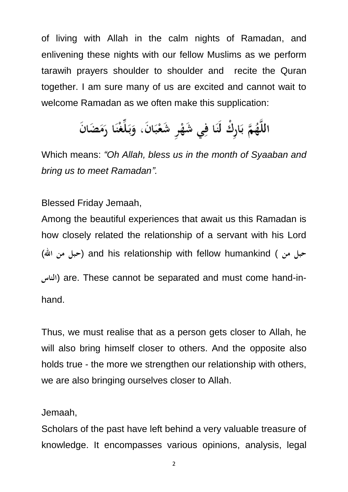of living with Allah in the calm nights of Ramadan, and enlivening these nights with our fellow Muslims as we perform tarawih prayers shoulder to shoulder and recite the Quran together. I am sure many of us are excited and cannot wait to welcome Ramadan as we often make this supplication:

## اللَّهُمَّ بَارِكْ لَنَا فِي شَهْرِ شَعْبَانَ، وَبَلِّغْنَا رَمَضَانَ

Which means: *"Oh Allah, bless us in the month of Syaaban and bring us to meet Ramadan".*

Blessed Friday Jemaah,

Among the beautiful experiences that await us this Ramadan is how closely related the relationship of a servant with his Lord (**اهلل من حبل** (and his relationship with fellow humankind ( **من حبل الناس** (are. These cannot be separated and must come hand-inhand.

Thus, we must realise that as a person gets closer to Allah, he will also bring himself closer to others. And the opposite also holds true - the more we strengthen our relationship with others, we are also bringing ourselves closer to Allah.

Jemaah,

Scholars of the past have left behind a very valuable treasure of knowledge. It encompasses various opinions, analysis, legal

2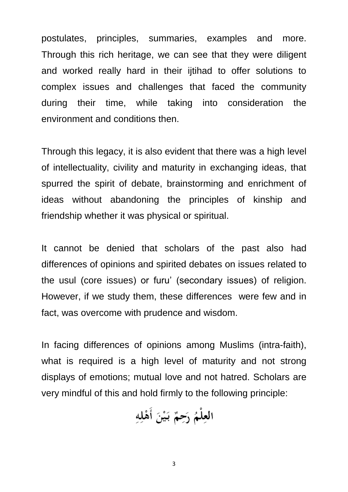postulates, principles, summaries, examples and more. Through this rich heritage, we can see that they were diligent and worked really hard in their ijtihad to offer solutions to complex issues and challenges that faced the community during their time, while taking into consideration the environment and conditions then.

Through this legacy, it is also evident that there was a high level of intellectuality, civility and maturity in exchanging ideas, that spurred the spirit of debate, brainstorming and enrichment of ideas without abandoning the principles of kinship and friendship whether it was physical or spiritual.

It cannot be denied that scholars of the past also had differences of opinions and spirited debates on issues related to the usul (core issues) or furu' (secondary issues) of religion. However, if we study them, these differences were few and in fact, was overcome with prudence and wisdom.

In facing differences of opinions among Muslims (intra-faith), what is required is a high level of maturity and not strong displays of emotions; mutual love and not hatred. Scholars are very mindful of this and hold firmly to the following principle:

العِلْمُ رَحِمٌ بَيْنَ أَهْلِهِ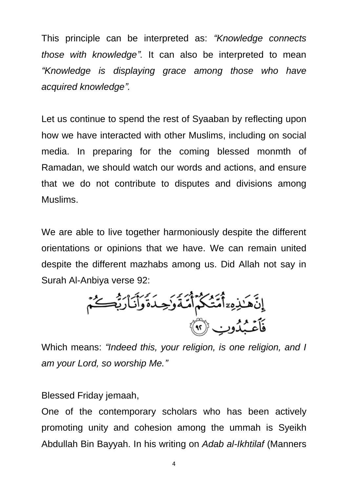This principle can be interpreted as: *"Knowledge connects those with knowledge".* It can also be interpreted to mean *"Knowledge is displaying grace among those who have acquired knowledge".*

Let us continue to spend the rest of Syaaban by reflecting upon how we have interacted with other Muslims, including on social media. In preparing for the coming blessed monmth of Ramadan, we should watch our words and actions, and ensure that we do not contribute to disputes and divisions among Muslims.

We are able to live together harmoniously despite the different orientations or opinions that we have. We can remain united despite the different mazhabs among us. Did Allah not say in Surah Al-Anbiya verse 92:

ٳڹؘۜۿؘٮٚۮؚؚ<sub>ڡ</sub>ۦٓٲٛڡؘۜؾؙػٛؗمۜٲ۫ڡۜڎؘۅؘٛڿٮؘۏۘۄٲۜڹٲۯؗؿؗ۠<sup>ڝ</sup>ػٛم<br>ڣؘٲۼۘڹٛۮۏڹ۞

Which means: *"Indeed this, your religion, is one religion, and I am your Lord, so worship Me."*

Blessed Friday jemaah,

One of the contemporary scholars who has been actively promoting unity and cohesion among the ummah is Syeikh Abdullah Bin Bayyah. In his writing on *Adab al-Ikhtilaf* (Manners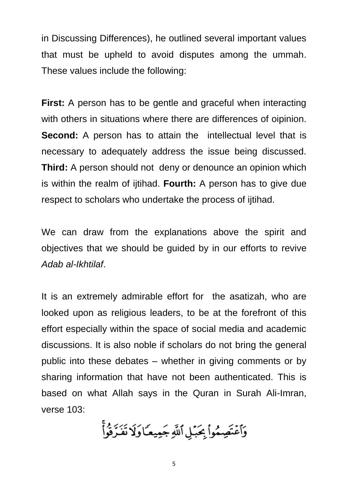in Discussing Differences), he outlined several important values that must be upheld to avoid disputes among the ummah. These values include the following:

**First:** A person has to be gentle and graceful when interacting with others in situations where there are differences of oipinion. **Second:** A person has to attain the intellectual level that is necessary to adequately address the issue being discussed. **Third:** A person should not deny or denounce an opinion which is within the realm of ijtihad. **Fourth:** A person has to give due respect to scholars who undertake the process of ijtihad.

We can draw from the explanations above the spirit and objectives that we should be guided by in our efforts to revive *Adab al-Ikhtilaf*.

It is an extremely admirable effort for the asatizah, who are looked upon as religious leaders, to be at the forefront of this effort especially within the space of social media and academic discussions. It is also noble if scholars do not bring the general public into these debates – whether in giving comments or by sharing information that have not been authenticated. This is based on what Allah says in the Quran in Surah Ali-Imran, verse 103:

وَٱعۡتَصِمُوا۟ بِحَبۡلِ ٱللَّهِ جَمِيعَـٗاوَلَا تَفَرَّقُواْۚ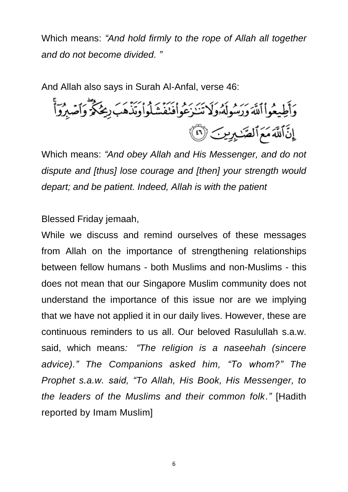Which means: *"And hold firmly to the rope of Allah all together and do not become divided. "*

And Allah also says in Surah Al-Anfal, verse 46: وَأَطِيعُواْ ٱللَّهَ وَرَسُولَهُۥوَلَا تَنَـٰزَعُواْفَنَفَشَلُواْوَتَذْهَبَ رِيحُكُمْ وَٱصۡبِرُوٓاْ إِنَّ اللَّهَ مَعَ ٱلصَّدِيرِينَ (٢)

Which means: *"And obey Allah and His Messenger, and do not dispute and [thus] lose courage and [then] your strength would depart; and be patient. Indeed, Allah is with the patient*

Blessed Friday jemaah,

While we discuss and remind ourselves of these messages from Allah on the importance of strengthening relationships between fellow humans - both Muslims and non-Muslims - this does not mean that our Singapore Muslim community does not understand the importance of this issue nor are we implying that we have not applied it in our daily lives. However, these are continuous reminders to us all. Our beloved Rasulullah s.a.w. said, which means*: "The religion is a naseehah (sincere advice)." The Companions asked him, "To whom?" The Prophet s.a.w. said, "To Allah, His Book, His Messenger, to the leaders of the Muslims and their common folk."* [Hadith reported by Imam Muslim]

6